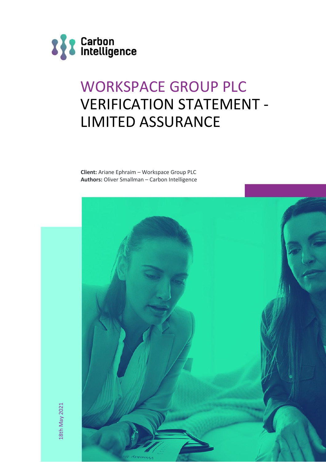

# WORKSPACE GROUP PLC VERIFICATION STATEMENT - LIMITED ASSURANCE

**Client:** Ariane Ephraim – Workspace Group PLC **Authors:** Oliver Smallman – Carbon Intelligence



18th May 2021 18th May 2021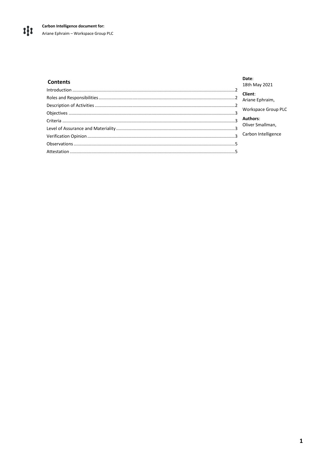#### **Contents**

## **Date:**<br>18th May 2021

|                | <b>TOUL INIGA SAST</b> |
|----------------|------------------------|
|                | Client:                |
|                | Ariane Ephraim,        |
|                | Workspace Group PLC    |
|                |                        |
|                | Authors:               |
|                | Oliver Smallman,       |
| $\overline{3}$ | Carbon Intelligence    |
|                |                        |
|                |                        |
|                |                        |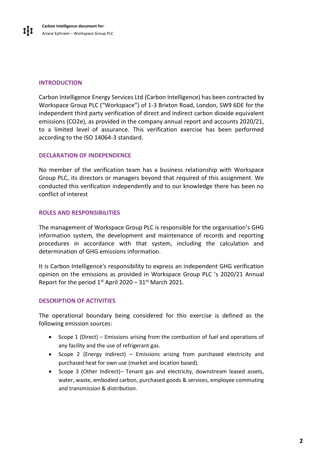#### <span id="page-2-0"></span>**INTRODUCTION**

Carbon Intelligence Energy Services Ltd (Carbon Intelligence) has been contracted by Workspace Group PLC ("Workspace") of 1-3 Brixton Road, London, SW9 6DE for the independent third party verification of direct and indirect carbon dioxide equivalent emissions (CO2e), as provided in the company annual report and accounts 2020/21, to a limited level of assurance. This verification exercise has been performed according to the ISO 14064-3 standard.

#### **DECLARATION OF INDEPENDENCE**

No member of the verification team has a business relationship with Workspace Group PLC, its directors or managers beyond that required of this assignment. We conducted this verification independently and to our knowledge there has been no conflict of interest

#### <span id="page-2-1"></span>**ROLES AND RESPONSIBILITIES**

The management of Workspace Group PLC is responsible for the organisation's GHG information system, the development and maintenance of records and reporting procedures in accordance with that system, including the calculation and determination of GHG emissions information.

It is Carbon Intelligence's responsibility to express an independent GHG verification opinion on the emissions as provided in Workspace Group PLC 's 2020/21 Annual Report for the period  $1^{st}$  April 2020 – 31 $^{st}$  March 2021.

#### <span id="page-2-2"></span>**DESCRIPTION OF ACTIVITIES**

The operational boundary being considered for this exercise is defined as the following emission sources:

- Scope 1 (Direct) Emissions arising from the combustion of fuel and operations of any facility and the use of refrigerant gas.
- Scope 2 (Energy Indirect) Emissions arising from purchased electricity and purchased heat for own use (market and location based).
- <span id="page-2-3"></span>• Scope 3 (Other Indirect)– Tenant gas and electricity, downstream leased assets, water, waste, embodied carbon, purchased goods & services, employee commuting and transmission & distribution.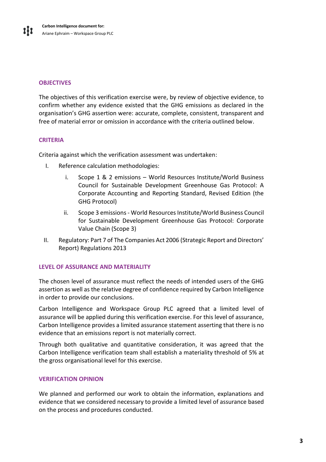#### **OBJECTIVES**

The objectives of this verification exercise were, by review of objective evidence, to confirm whether any evidence existed that the GHG emissions as declared in the organisation's GHG assertion were: accurate, complete, consistent, transparent and free of material error or omission in accordance with the criteria outlined below.

#### <span id="page-3-0"></span>**CRITERIA**

Criteria against which the verification assessment was undertaken:

- I. Reference calculation methodologies:
	- i. Scope 1 & 2 emissions World Resources Institute/World Business Council for Sustainable Development Greenhouse Gas Protocol: A Corporate Accounting and Reporting Standard, Revised Edition (the GHG Protocol)
	- ii. Scope 3 emissions World Resources Institute/World Business Council for Sustainable Development Greenhouse Gas Protocol: Corporate Value Chain (Scope 3)
- II. Regulatory: Part 7 of The Companies Act 2006 (Strategic Report and Directors' Report) Regulations 2013

#### <span id="page-3-1"></span>**LEVEL OF ASSURANCE AND MATERIALITY**

The chosen level of assurance must reflect the needs of intended users of the GHG assertion as well as the relative degree of confidence required by Carbon Intelligence in order to provide our conclusions.

Carbon Intelligence and Workspace Group PLC agreed that a limited level of assurance will be applied during this verification exercise. For this level of assurance, Carbon Intelligence provides a limited assurance statement asserting that there is no evidence that an emissions report is not materially correct.

Through both qualitative and quantitative consideration, it was agreed that the Carbon Intelligence verification team shall establish a materiality threshold of 5% at the gross organisational level for this exercise.

#### <span id="page-3-2"></span>**VERIFICATION OPINION**

We planned and performed our work to obtain the information, explanations and evidence that we considered necessary to provide a limited level of assurance based on the process and procedures conducted.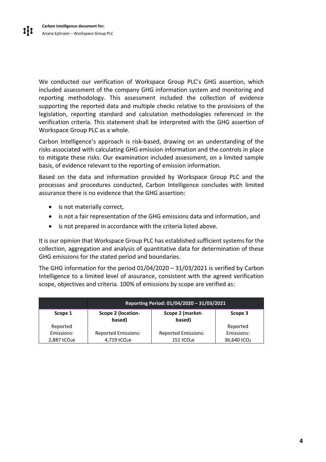We conducted our verification of Workspace Group PLC's GHG assertion, which included assessment of the company GHG information system and monitoring and reporting methodology. This assessment included the collection of evidence supporting the reported data and multiple checks relative to the provisions of the legislation, reporting standard and calculation methodologies referenced in the verification criteria. This statement shall be interpreted with the GHG assertion of Workspace Group PLC as a whole.

Carbon Intelligence's approach is risk-based, drawing on an understanding of the risks associated with calculating GHG emission information and the controls in place to mitigate these risks. Our examination included assessment, on a limited sample basis, of evidence relevant to the reporting of emission information.

Based on the data and information provided by Workspace Group PLC and the processes and procedures conducted, Carbon Intelligence concludes with limited assurance there is no evidence that the GHG assertion:

- is not materially correct,
- is not a fair representation of the GHG emissions data and information, and
- is not prepared in accordance with the criteria listed above.

It is our opinion that Workspace Group PLC has established sufficient systems for the collection, aggregation and analysis of quantitative data for determination of these GHG emissions for the stated period and boundaries.

The GHG information for the period 01/04/2020 – 31/03/2021 is verified by Carbon Intelligence to a limited level of assurance, consistent with the agreed verification scope, objectives and criteria. 100% of emissions by scope are verified as:

<span id="page-4-0"></span>

|                            | Reporting Period: 01/04/2020 - 31/03/2021 |                            |                         |
|----------------------------|-------------------------------------------|----------------------------|-------------------------|
| Scope 1                    | Scope 2 (location-<br>based)              | Scope 2 (market-<br>based) | Scope 3                 |
| Reported                   |                                           |                            | Reported                |
| Emissions:                 | <b>Reported Emissions:</b>                | <b>Reported Emissions:</b> | Emissions:              |
| $2,887$ tCO <sub>2</sub> e | 4,719 tCO <sub>2</sub> e                  | $151$ tCO <sub>2</sub> e   | 36,640 tCO <sub>2</sub> |